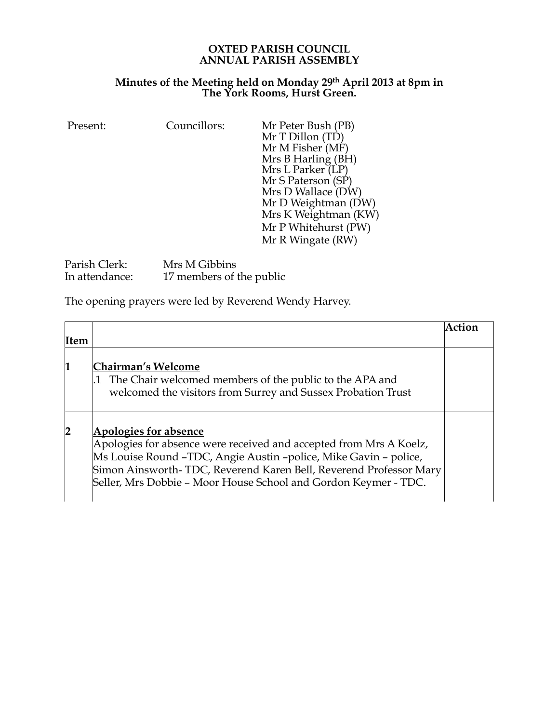## **OXTED PARISH COUNCIL ANNUAL PARISH ASSEMBLY**

## **Minutes of the Meeting held on Monday 29th April 2013 at 8pm in The York Rooms, Hurst Green.**

| Councillors:<br>Present: | Mr Peter Bush (PB)<br>Mr T Dillon (TD)<br>Mr M Fisher (MF)<br>Mrs B Harling (BH)<br>Mrs L Parker (LP)<br>Mr S Paterson (SP)<br>Mrs D Wallace (DW)<br>Mr D Weightman (DW)<br>Mrs K Weightman (KW)<br>Mr P Whitehurst (PW)<br>Mr R Wingate (RW) |
|--------------------------|-----------------------------------------------------------------------------------------------------------------------------------------------------------------------------------------------------------------------------------------------|
|--------------------------|-----------------------------------------------------------------------------------------------------------------------------------------------------------------------------------------------------------------------------------------------|

| Parish Clerk:  | Mrs M Gibbins            |
|----------------|--------------------------|
| In attendance: | 17 members of the public |

The opening prayers were led by Reverend Wendy Harvey.

|                         |                                                                                                                                                                                                                                                                                                                | Action |
|-------------------------|----------------------------------------------------------------------------------------------------------------------------------------------------------------------------------------------------------------------------------------------------------------------------------------------------------------|--------|
| Item                    |                                                                                                                                                                                                                                                                                                                |        |
| 1                       | <b>Chairman's Welcome</b><br>1 The Chair welcomed members of the public to the APA and<br>welcomed the visitors from Surrey and Sussex Probation Trust                                                                                                                                                         |        |
| $\overline{\mathbf{2}}$ | <b>Apologies for absence</b><br>Apologies for absence were received and accepted from Mrs A Koelz,<br>Ms Louise Round -TDC, Angie Austin -police, Mike Gavin - police,<br>Simon Ainsworth-TDC, Reverend Karen Bell, Reverend Professor Mary<br>Seller, Mrs Dobbie - Moor House School and Gordon Keymer - TDC. |        |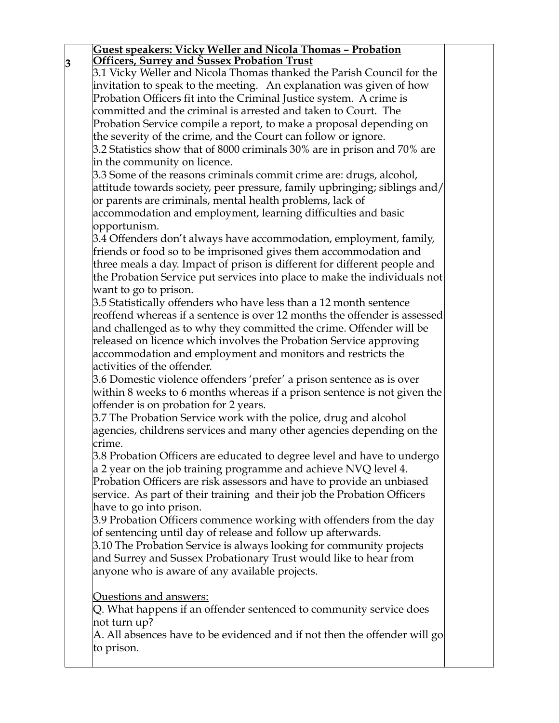| <b>Officers, Surrey and Sussex Probation Trust</b>                                         |  |
|--------------------------------------------------------------------------------------------|--|
|                                                                                            |  |
| 3.1 Vicky Weller and Nicola Thomas thanked the Parish Council for the                      |  |
| invitation to speak to the meeting. An explanation was given of how                        |  |
| Probation Officers fit into the Criminal Justice system. A crime is                        |  |
| committed and the criminal is arrested and taken to Court. The                             |  |
| Probation Service compile a report, to make a proposal depending on                        |  |
| the severity of the crime, and the Court can follow or ignore.                             |  |
| 3.2 Statistics show that of 8000 criminals 30% are in prison and 70% are                   |  |
| in the community on licence.                                                               |  |
| 3.3 Some of the reasons criminals commit crime are: drugs, alcohol,                        |  |
| attitude towards society, peer pressure, family upbringing; siblings and/                  |  |
| or parents are criminals, mental health problems, lack of                                  |  |
| accommodation and employment, learning difficulties and basic                              |  |
| opportunism.                                                                               |  |
| 3.4 Offenders don't always have accommodation, employment, family,                         |  |
|                                                                                            |  |
| friends or food so to be imprisoned gives them accommodation and                           |  |
| three meals a day. Impact of prison is different for different people and                  |  |
| the Probation Service put services into place to make the individuals not                  |  |
| want to go to prison.                                                                      |  |
| 3.5 Statistically offenders who have less than a 12 month sentence                         |  |
| reoffend whereas if a sentence is over 12 months the offender is assessed                  |  |
| and challenged as to why they committed the crime. Offender will be                        |  |
| released on licence which involves the Probation Service approving                         |  |
| accommodation and employment and monitors and restricts the                                |  |
| activities of the offender.                                                                |  |
| 3.6 Domestic violence offenders 'prefer' a prison sentence as is over                      |  |
| within 8 weeks to 6 months whereas if a prison sentence is not given the                   |  |
| offender is on probation for 2 years.                                                      |  |
| 3.7 The Probation Service work with the police, drug and alcohol                           |  |
| agencies, childrens services and many other agencies depending on the                      |  |
| crime.                                                                                     |  |
| 3.8 Probation Officers are educated to degree level and have to undergo                    |  |
| $\alpha$ 2 year on the job training programme and achieve NVQ level 4.                     |  |
| Probation Officers are risk assessors and have to provide an unbiased                      |  |
| service. As part of their training and their job the Probation Officers                    |  |
| have to go into prison.                                                                    |  |
| 3.9 Probation Officers commence working with offenders from the day                        |  |
| of sentencing until day of release and follow up afterwards.                               |  |
| 3.10 The Probation Service is always looking for community projects                        |  |
| and Surrey and Sussex Probationary Trust would like to hear from                           |  |
| anyone who is aware of any available projects.                                             |  |
|                                                                                            |  |
| Questions and answers:                                                                     |  |
| Q. What happens if an offender sentenced to community service does                         |  |
| not turn up?                                                                               |  |
| $\bm{\mathsf{A}}$ . All absences have to be evidenced and if not then the offender will go |  |
| to prison.                                                                                 |  |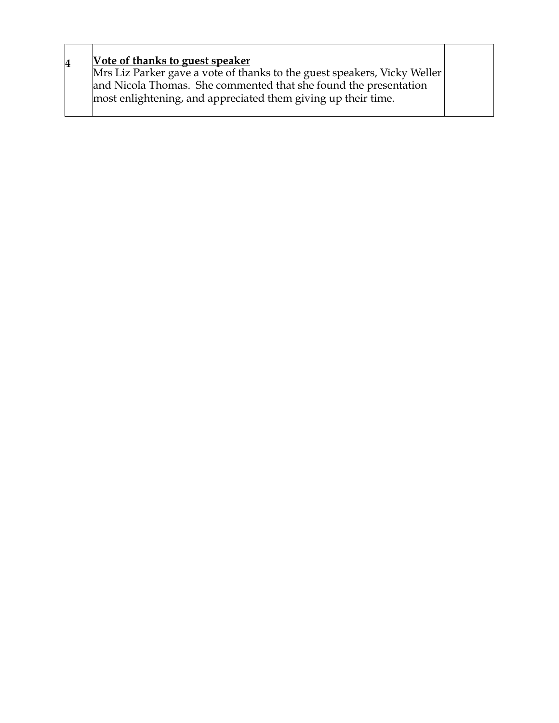| Vote of thanks to guest speaker<br>4<br>Mrs Liz Parker gave a vote of thanks to the guest speakers, Vicky Weller<br>and Nicola Thomas. She commented that she found the presentation<br>most enlightening, and appreciated them giving up their time. |  |
|-------------------------------------------------------------------------------------------------------------------------------------------------------------------------------------------------------------------------------------------------------|--|
|-------------------------------------------------------------------------------------------------------------------------------------------------------------------------------------------------------------------------------------------------------|--|

 $\top$ 

 $\top$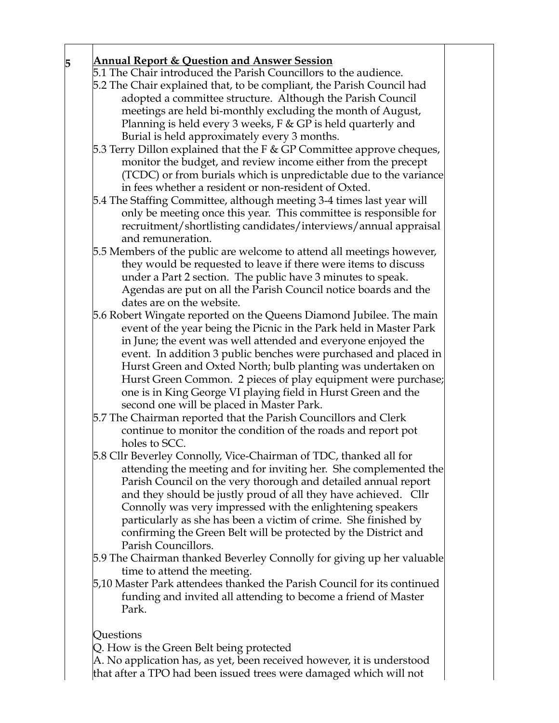## **5 Annual Report & Question and Answer Session**

5.1 The Chair introduced the Parish Councillors to the audience.

- 5.2 The Chair explained that, to be compliant, the Parish Council had adopted a committee structure. Although the Parish Council meetings are held bi-monthly excluding the month of August, Planning is held every 3 weeks, F & GP is held quarterly and Burial is held approximately every 3 months.
- 5.3 Terry Dillon explained that the F & GP Committee approve cheques, monitor the budget, and review income either from the precept (TCDC) or from burials which is unpredictable due to the variance in fees whether a resident or non-resident of Oxted.
- 5.4 The Staffing Committee, although meeting 3-4 times last year will only be meeting once this year. This committee is responsible for recruitment/shortlisting candidates/interviews/annual appraisal and remuneration.
- 5.5 Members of the public are welcome to attend all meetings however, they would be requested to leave if there were items to discuss under a Part 2 section. The public have 3 minutes to speak. Agendas are put on all the Parish Council notice boards and the dates are on the website.
- 5.6 Robert Wingate reported on the Queens Diamond Jubilee. The main event of the year being the Picnic in the Park held in Master Park in June; the event was well attended and everyone enjoyed the event. In addition 3 public benches were purchased and placed in Hurst Green and Oxted North; bulb planting was undertaken on Hurst Green Common. 2 pieces of play equipment were purchase; one is in King George VI playing field in Hurst Green and the second one will be placed in Master Park.
- 5.7 The Chairman reported that the Parish Councillors and Clerk continue to monitor the condition of the roads and report pot holes to SCC.
- 5.8 Cllr Beverley Connolly, Vice-Chairman of TDC, thanked all for attending the meeting and for inviting her. She complemented the Parish Council on the very thorough and detailed annual report and they should be justly proud of all they have achieved. Cllr Connolly was very impressed with the enlightening speakers particularly as she has been a victim of crime. She finished by confirming the Green Belt will be protected by the District and Parish Councillors.
- 5.9 The Chairman thanked Beverley Connolly for giving up her valuable time to attend the meeting.
- 5,10 Master Park attendees thanked the Parish Council for its continued funding and invited all attending to become a friend of Master Park.

## Questions

Q. How is the Green Belt being protected

A. No application has, as yet, been received however, it is understood that after a TPO had been issued trees were damaged which will not